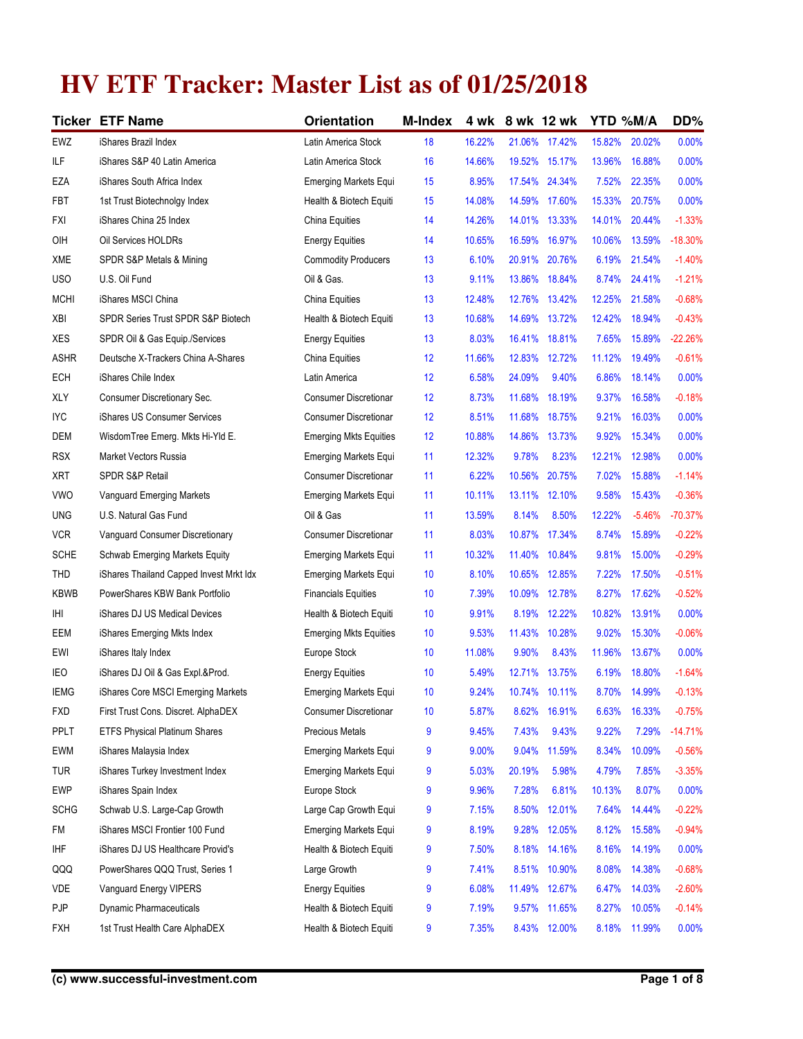## **HV ETF Tracker: Master List as of 01/25/2018**

|             | <b>Ticker ETF Name</b>                  | Orientation                   | <b>M-Index</b> | 4 wk   | 8 wk 12 wk |               | YTD %M/A |          | DD%       |
|-------------|-----------------------------------------|-------------------------------|----------------|--------|------------|---------------|----------|----------|-----------|
| EWZ         | iShares Brazil Index                    | Latin America Stock           | 18             | 16.22% | 21.06%     | 17.42%        | 15.82%   | 20.02%   | 0.00%     |
| ILF         | iShares S&P 40 Latin America            | Latin America Stock           | 16             | 14.66% | 19.52%     | 15.17%        | 13.96%   | 16.88%   | 0.00%     |
| EZA         | iShares South Africa Index              | <b>Emerging Markets Equi</b>  | 15             | 8.95%  | 17.54%     | 24.34%        | 7.52%    | 22.35%   | 0.00%     |
| FBT         | 1st Trust Biotechnolgy Index            | Health & Biotech Equiti       | 15             | 14.08% | 14.59%     | 17.60%        | 15.33%   | 20.75%   | 0.00%     |
| <b>FXI</b>  | iShares China 25 Index                  | China Equities                | 14             | 14.26% | 14.01%     | 13.33%        | 14.01%   | 20.44%   | $-1.33%$  |
| OIH         | Oil Services HOLDRs                     | <b>Energy Equities</b>        | 14             | 10.65% | 16.59%     | 16.97%        | 10.06%   | 13.59%   | $-18.30%$ |
| XME         | SPDR S&P Metals & Mining                | <b>Commodity Producers</b>    | 13             | 6.10%  | 20.91%     | 20.76%        | 6.19%    | 21.54%   | $-1.40%$  |
| <b>USO</b>  | U.S. Oil Fund                           | Oil & Gas.                    | 13             | 9.11%  | 13.86%     | 18.84%        | 8.74%    | 24.41%   | $-1.21%$  |
| <b>MCHI</b> | iShares MSCI China                      | China Equities                | 13             | 12.48% | 12.76%     | 13.42%        | 12.25%   | 21.58%   | $-0.68%$  |
| XBI         | SPDR Series Trust SPDR S&P Biotech      | Health & Biotech Equiti       | 13             | 10.68% | 14.69%     | 13.72%        | 12.42%   | 18.94%   | $-0.43%$  |
| <b>XES</b>  | SPDR Oil & Gas Equip./Services          | <b>Energy Equities</b>        | 13             | 8.03%  | 16.41%     | 18.81%        | 7.65%    | 15.89%   | $-22.26%$ |
| <b>ASHR</b> | Deutsche X-Trackers China A-Shares      | China Equities                | 12             | 11.66% | 12.83%     | 12.72%        | 11.12%   | 19.49%   | $-0.61%$  |
| <b>ECH</b>  | iShares Chile Index                     | Latin America                 | 12             | 6.58%  | 24.09%     | 9.40%         | 6.86%    | 18.14%   | 0.00%     |
| <b>XLY</b>  | Consumer Discretionary Sec.             | <b>Consumer Discretionar</b>  | 12             | 8.73%  | 11.68%     | 18.19%        | 9.37%    | 16.58%   | $-0.18%$  |
| IYC         | iShares US Consumer Services            | <b>Consumer Discretionar</b>  | 12             | 8.51%  | 11.68%     | 18.75%        | 9.21%    | 16.03%   | 0.00%     |
| <b>DEM</b>  | WisdomTree Emerg. Mkts Hi-Yld E.        | <b>Emerging Mkts Equities</b> | 12             | 10.88% | 14.86%     | 13.73%        | 9.92%    | 15.34%   | 0.00%     |
| <b>RSX</b>  | Market Vectors Russia                   | <b>Emerging Markets Equi</b>  | 11             | 12.32% | 9.78%      | 8.23%         | 12.21%   | 12.98%   | 0.00%     |
| XRT         | <b>SPDR S&amp;P Retail</b>              | <b>Consumer Discretionar</b>  | 11             | 6.22%  | 10.56%     | 20.75%        | 7.02%    | 15.88%   | $-1.14%$  |
| <b>VWO</b>  | Vanguard Emerging Markets               | <b>Emerging Markets Equi</b>  | 11             | 10.11% | 13.11%     | 12.10%        | 9.58%    | 15.43%   | $-0.36%$  |
| <b>UNG</b>  | U.S. Natural Gas Fund                   | Oil & Gas                     | 11             | 13.59% | 8.14%      | 8.50%         | 12.22%   | $-5.46%$ | $-70.37%$ |
| <b>VCR</b>  | Vanguard Consumer Discretionary         | <b>Consumer Discretionar</b>  | 11             | 8.03%  | 10.87%     | 17.34%        | 8.74%    | 15.89%   | $-0.22%$  |
| <b>SCHE</b> | <b>Schwab Emerging Markets Equity</b>   | <b>Emerging Markets Equi</b>  | 11             | 10.32% | 11.40%     | 10.84%        | 9.81%    | 15.00%   | $-0.29%$  |
| THD         | iShares Thailand Capped Invest Mrkt Idx | <b>Emerging Markets Equi</b>  | 10             | 8.10%  | 10.65%     | 12.85%        | 7.22%    | 17.50%   | $-0.51%$  |
| <b>KBWB</b> | PowerShares KBW Bank Portfolio          | <b>Financials Equities</b>    | 10             | 7.39%  | 10.09%     | 12.78%        | 8.27%    | 17.62%   | $-0.52%$  |
| IHI         | iShares DJ US Medical Devices           | Health & Biotech Equiti       | 10             | 9.91%  | 8.19%      | 12.22%        | 10.82%   | 13.91%   | 0.00%     |
| EEM         | iShares Emerging Mkts Index             | <b>Emerging Mkts Equities</b> | 10             | 9.53%  | 11.43%     | 10.28%        | 9.02%    | 15.30%   | $-0.06%$  |
| EWI         | iShares Italy Index                     | Europe Stock                  | 10             | 11.08% | 9.90%      | 8.43%         | 11.96%   | 13.67%   | 0.00%     |
| IEO         | iShares DJ Oil & Gas Expl.&Prod.        | <b>Energy Equities</b>        | 10             | 5.49%  | 12.71%     | 13.75%        | 6.19%    | 18.80%   | $-1.64%$  |
| <b>IEMG</b> | iShares Core MSCI Emerging Markets      | Emerging Markets Equi         | 10             | 9.24%  |            | 10.74% 10.11% | 8.70%    | 14.99%   | $-0.13%$  |
| <b>FXD</b>  | First Trust Cons. Discret. AlphaDEX     | <b>Consumer Discretionar</b>  | 10             | 5.87%  | 8.62%      | 16.91%        | 6.63%    | 16.33%   | $-0.75%$  |
| PPLT        | <b>ETFS Physical Platinum Shares</b>    | <b>Precious Metals</b>        | 9              | 9.45%  | 7.43%      | 9.43%         | 9.22%    | 7.29%    | $-14.71%$ |
| EWM         | iShares Malaysia Index                  | <b>Emerging Markets Equi</b>  | 9              | 9.00%  | 9.04%      | 11.59%        | 8.34%    | 10.09%   | $-0.56%$  |
| <b>TUR</b>  | iShares Turkey Investment Index         | <b>Emerging Markets Equi</b>  | 9              | 5.03%  | 20.19%     | 5.98%         | 4.79%    | 7.85%    | $-3.35%$  |
| <b>EWP</b>  | iShares Spain Index                     | Europe Stock                  | 9              | 9.96%  | 7.28%      | 6.81%         | 10.13%   | 8.07%    | 0.00%     |
| <b>SCHG</b> | Schwab U.S. Large-Cap Growth            | Large Cap Growth Equi         | 9              | 7.15%  | 8.50%      | 12.01%        | 7.64%    | 14.44%   | $-0.22%$  |
| FM          | iShares MSCI Frontier 100 Fund          | Emerging Markets Equi         | 9              | 8.19%  | 9.28%      | 12.05%        | 8.12%    | 15.58%   | $-0.94%$  |
| <b>IHF</b>  | iShares DJ US Healthcare Provid's       | Health & Biotech Equiti       | 9              | 7.50%  | 8.18%      | 14.16%        | 8.16%    | 14.19%   | 0.00%     |
| QQQ         | PowerShares QQQ Trust, Series 1         | Large Growth                  | 9              | 7.41%  | 8.51%      | 10.90%        | 8.08%    | 14.38%   | $-0.68%$  |
| <b>VDE</b>  | Vanguard Energy VIPERS                  | <b>Energy Equities</b>        | 9              | 6.08%  | 11.49%     | 12.67%        | 6.47%    | 14.03%   | $-2.60%$  |
| PJP         | Dynamic Pharmaceuticals                 | Health & Biotech Equiti       | 9              | 7.19%  | 9.57%      | 11.65%        | 8.27%    | 10.05%   | $-0.14%$  |
| <b>FXH</b>  | 1st Trust Health Care AlphaDEX          | Health & Biotech Equiti       | 9              | 7.35%  | 8.43%      | 12.00%        | 8.18%    | 11.99%   | 0.00%     |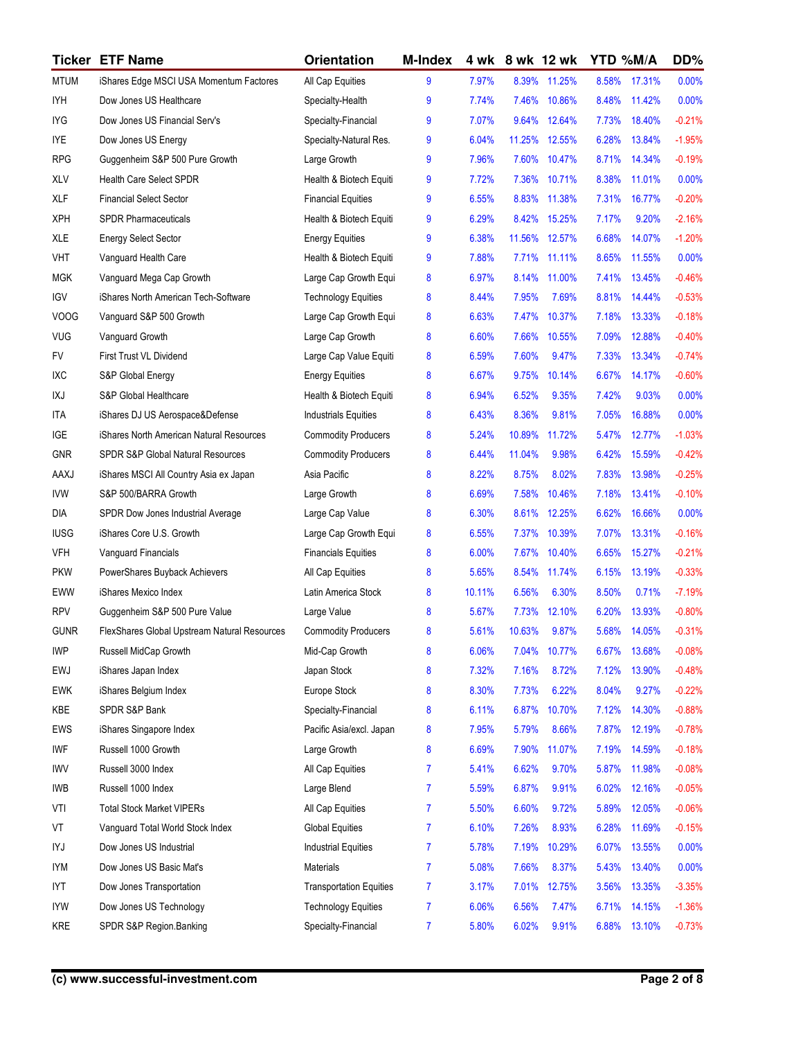| Ticker      | <b>ETF Name</b>                              | <b>Orientation</b>             | <b>M-Index</b> | 4 wk   | 8 wk 12 wk |        | YTD %M/A |        | DD%      |
|-------------|----------------------------------------------|--------------------------------|----------------|--------|------------|--------|----------|--------|----------|
| <b>MTUM</b> | iShares Edge MSCI USA Momentum Factores      | All Cap Equities               | 9              | 7.97%  | 8.39%      | 11.25% | 8.58%    | 17.31% | 0.00%    |
| <b>IYH</b>  | Dow Jones US Healthcare                      | Specialty-Health               | 9              | 7.74%  | 7.46%      | 10.86% | 8.48%    | 11.42% | 0.00%    |
| <b>IYG</b>  | Dow Jones US Financial Serv's                | Specialty-Financial            | 9              | 7.07%  | 9.64%      | 12.64% | 7.73%    | 18.40% | $-0.21%$ |
| <b>IYE</b>  | Dow Jones US Energy                          | Specialty-Natural Res.         | 9              | 6.04%  | 11.25%     | 12.55% | 6.28%    | 13.84% | $-1.95%$ |
| <b>RPG</b>  | Guggenheim S&P 500 Pure Growth               | Large Growth                   | 9              | 7.96%  | 7.60%      | 10.47% | 8.71%    | 14.34% | $-0.19%$ |
| XLV         | Health Care Select SPDR                      | Health & Biotech Equiti        | 9              | 7.72%  | 7.36%      | 10.71% | 8.38%    | 11.01% | 0.00%    |
| <b>XLF</b>  | <b>Financial Select Sector</b>               | <b>Financial Equities</b>      | 9              | 6.55%  | 8.83%      | 11.38% | 7.31%    | 16.77% | $-0.20%$ |
| <b>XPH</b>  | <b>SPDR Pharmaceuticals</b>                  | Health & Biotech Equiti        | 9              | 6.29%  | 8.42%      | 15.25% | 7.17%    | 9.20%  | $-2.16%$ |
| <b>XLE</b>  | <b>Energy Select Sector</b>                  | <b>Energy Equities</b>         | 9              | 6.38%  | 11.56%     | 12.57% | 6.68%    | 14.07% | $-1.20%$ |
| VHT         | Vanguard Health Care                         | Health & Biotech Equiti        | 9              | 7.88%  | 7.71%      | 11.11% | 8.65%    | 11.55% | 0.00%    |
| <b>MGK</b>  | Vanguard Mega Cap Growth                     | Large Cap Growth Equi          | 8              | 6.97%  | 8.14%      | 11.00% | 7.41%    | 13.45% | $-0.46%$ |
| <b>IGV</b>  | iShares North American Tech-Software         | <b>Technology Equities</b>     | 8              | 8.44%  | 7.95%      | 7.69%  | 8.81%    | 14.44% | $-0.53%$ |
| <b>VOOG</b> | Vanguard S&P 500 Growth                      | Large Cap Growth Equi          | 8              | 6.63%  | 7.47%      | 10.37% | 7.18%    | 13.33% | $-0.18%$ |
| <b>VUG</b>  | Vanguard Growth                              | Large Cap Growth               | 8              | 6.60%  | 7.66%      | 10.55% | 7.09%    | 12.88% | $-0.40%$ |
| <b>FV</b>   | First Trust VL Dividend                      | Large Cap Value Equiti         | 8              | 6.59%  | 7.60%      | 9.47%  | 7.33%    | 13.34% | $-0.74%$ |
| IXC         | S&P Global Energy                            | <b>Energy Equities</b>         | 8              | 6.67%  | 9.75%      | 10.14% | 6.67%    | 14.17% | $-0.60%$ |
| IXJ         | S&P Global Healthcare                        | Health & Biotech Equiti        | 8              | 6.94%  | 6.52%      | 9.35%  | 7.42%    | 9.03%  | 0.00%    |
| ITA         | iShares DJ US Aerospace&Defense              | Industrials Equities           | 8              | 6.43%  | 8.36%      | 9.81%  | 7.05%    | 16.88% | 0.00%    |
| IGE         | iShares North American Natural Resources     | <b>Commodity Producers</b>     | 8              | 5.24%  | 10.89%     | 11.72% | 5.47%    | 12.77% | $-1.03%$ |
| <b>GNR</b>  | <b>SPDR S&amp;P Global Natural Resources</b> | <b>Commodity Producers</b>     | 8              | 6.44%  | 11.04%     | 9.98%  | 6.42%    | 15.59% | $-0.42%$ |
| AAXJ        | iShares MSCI All Country Asia ex Japan       | Asia Pacific                   | 8              | 8.22%  | 8.75%      | 8.02%  | 7.83%    | 13.98% | $-0.25%$ |
| <b>IVW</b>  | S&P 500/BARRA Growth                         | Large Growth                   | 8              | 6.69%  | 7.58%      | 10.46% | 7.18%    | 13.41% | $-0.10%$ |
| DIA         | SPDR Dow Jones Industrial Average            | Large Cap Value                | 8              | 6.30%  | 8.61%      | 12.25% | 6.62%    | 16.66% | 0.00%    |
| <b>IUSG</b> | iShares Core U.S. Growth                     | Large Cap Growth Equi          | 8              | 6.55%  | 7.37%      | 10.39% | 7.07%    | 13.31% | $-0.16%$ |
| <b>VFH</b>  | Vanguard Financials                          | <b>Financials Equities</b>     | 8              | 6.00%  | 7.67%      | 10.40% | 6.65%    | 15.27% | $-0.21%$ |
| <b>PKW</b>  | PowerShares Buyback Achievers                | All Cap Equities               | 8              | 5.65%  | 8.54%      | 11.74% | 6.15%    | 13.19% | $-0.33%$ |
| EWW         | iShares Mexico Index                         | Latin America Stock            | 8              | 10.11% | 6.56%      | 6.30%  | 8.50%    | 0.71%  | $-7.19%$ |
| <b>RPV</b>  | Guggenheim S&P 500 Pure Value                | Large Value                    | 8              | 5.67%  | 7.73%      | 12.10% | 6.20%    | 13.93% | $-0.80%$ |
| <b>GUNR</b> | FlexShares Global Upstream Natural Resources | <b>Commodity Producers</b>     | 8              | 5.61%  | 10.63%     | 9.87%  | 5.68%    | 14.05% | $-0.31%$ |
| <b>IWP</b>  | Russell MidCap Growth                        | Mid-Cap Growth                 | 8              | 6.06%  | 7.04%      | 10.77% | 6.67%    | 13.68% | $-0.08%$ |
| <b>EWJ</b>  | iShares Japan Index                          | Japan Stock                    | 8              | 7.32%  | 7.16%      | 8.72%  | 7.12%    | 13.90% | $-0.48%$ |
| <b>EWK</b>  | iShares Belgium Index                        | Europe Stock                   | 8              | 8.30%  | 7.73%      | 6.22%  | 8.04%    | 9.27%  | $-0.22%$ |
| KBE         | SPDR S&P Bank                                | Specialty-Financial            | 8              | 6.11%  | 6.87%      | 10.70% | 7.12%    | 14.30% | $-0.88%$ |
| <b>EWS</b>  | iShares Singapore Index                      | Pacific Asia/excl. Japan       | 8              | 7.95%  | 5.79%      | 8.66%  | 7.87%    | 12.19% | $-0.78%$ |
| <b>IWF</b>  | Russell 1000 Growth                          | Large Growth                   | 8              | 6.69%  | 7.90%      | 11.07% | 7.19%    | 14.59% | $-0.18%$ |
| <b>IWV</b>  | Russell 3000 Index                           | All Cap Equities               | 7              | 5.41%  | 6.62%      | 9.70%  | 5.87%    | 11.98% | $-0.08%$ |
| <b>IWB</b>  | Russell 1000 Index                           | Large Blend                    | $\overline{7}$ | 5.59%  | 6.87%      | 9.91%  | 6.02%    | 12.16% | $-0.05%$ |
| VTI         | <b>Total Stock Market VIPERs</b>             | All Cap Equities               | 7              | 5.50%  | 6.60%      | 9.72%  | 5.89%    | 12.05% | $-0.06%$ |
| VT          | Vanguard Total World Stock Index             | <b>Global Equities</b>         | 7              | 6.10%  | 7.26%      | 8.93%  | 6.28%    | 11.69% | $-0.15%$ |
| IYJ         | Dow Jones US Industrial                      | <b>Industrial Equities</b>     | 7              | 5.78%  | 7.19%      | 10.29% | 6.07%    | 13.55% | 0.00%    |
| <b>IYM</b>  | Dow Jones US Basic Mat's                     | Materials                      | $\overline{7}$ | 5.08%  | 7.66%      | 8.37%  | 5.43%    | 13.40% | 0.00%    |
| <b>IYT</b>  | Dow Jones Transportation                     | <b>Transportation Equities</b> | $\overline{7}$ | 3.17%  | 7.01%      | 12.75% | 3.56%    | 13.35% | $-3.35%$ |
| <b>IYW</b>  | Dow Jones US Technology                      | <b>Technology Equities</b>     | $\overline{7}$ | 6.06%  | 6.56%      | 7.47%  | 6.71%    | 14.15% | $-1.36%$ |
| <b>KRE</b>  | SPDR S&P Region.Banking                      | Specialty-Financial            | 7              | 5.80%  | 6.02%      | 9.91%  | 6.88%    | 13.10% | $-0.73%$ |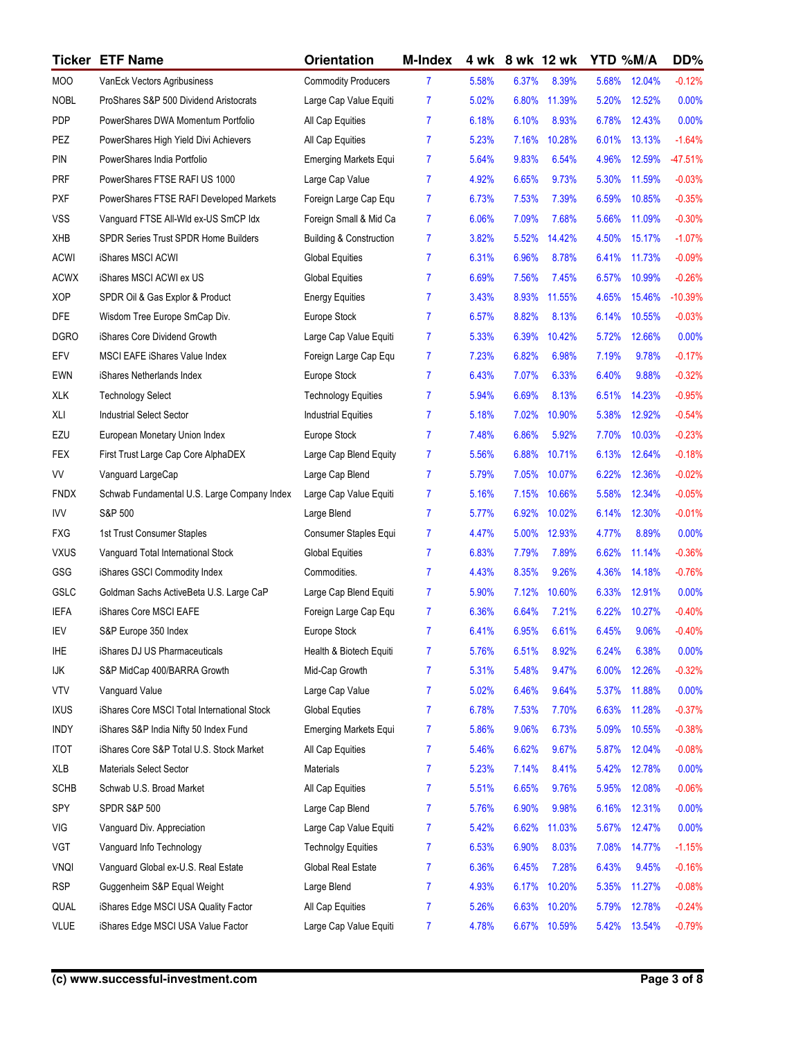|             | <b>Ticker ETF Name</b>                      | Orientation                        | <b>M-Index</b> | 4 wk  | 8 wk 12 wk |        | YTD %M/A |        | DD%       |
|-------------|---------------------------------------------|------------------------------------|----------------|-------|------------|--------|----------|--------|-----------|
| <b>MOO</b>  | VanEck Vectors Agribusiness                 | <b>Commodity Producers</b>         | 7              | 5.58% | 6.37%      | 8.39%  | 5.68%    | 12.04% | $-0.12%$  |
| <b>NOBL</b> | ProShares S&P 500 Dividend Aristocrats      | Large Cap Value Equiti             | 7              | 5.02% | 6.80%      | 11.39% | 5.20%    | 12.52% | 0.00%     |
| PDP         | PowerShares DWA Momentum Portfolio          | All Cap Equities                   | 7              | 6.18% | 6.10%      | 8.93%  | 6.78%    | 12.43% | 0.00%     |
| PEZ         | PowerShares High Yield Divi Achievers       | All Cap Equities                   | 7              | 5.23% | 7.16%      | 10.28% | 6.01%    | 13.13% | $-1.64%$  |
| PIN         | PowerShares India Portfolio                 | <b>Emerging Markets Equi</b>       | 7              | 5.64% | 9.83%      | 6.54%  | 4.96%    | 12.59% | $-47.51%$ |
| PRF         | PowerShares FTSE RAFI US 1000               | Large Cap Value                    | 7              | 4.92% | 6.65%      | 9.73%  | 5.30%    | 11.59% | $-0.03%$  |
| <b>PXF</b>  | PowerShares FTSE RAFI Developed Markets     | Foreign Large Cap Equ              | 7              | 6.73% | 7.53%      | 7.39%  | 6.59%    | 10.85% | $-0.35%$  |
| <b>VSS</b>  | Vanguard FTSE All-Wld ex-US SmCP Idx        | Foreign Small & Mid Ca             | 7              | 6.06% | 7.09%      | 7.68%  | 5.66%    | 11.09% | $-0.30%$  |
| XHB         | SPDR Series Trust SPDR Home Builders        | <b>Building &amp; Construction</b> | 7              | 3.82% | 5.52%      | 14.42% | 4.50%    | 15.17% | $-1.07%$  |
| <b>ACWI</b> | iShares MSCI ACWI                           | <b>Global Equities</b>             | 7              | 6.31% | 6.96%      | 8.78%  | 6.41%    | 11.73% | $-0.09%$  |
| <b>ACWX</b> | iShares MSCI ACWI ex US                     | <b>Global Equities</b>             | 7              | 6.69% | 7.56%      | 7.45%  | 6.57%    | 10.99% | $-0.26%$  |
| <b>XOP</b>  | SPDR Oil & Gas Explor & Product             | <b>Energy Equities</b>             | 7              | 3.43% | 8.93%      | 11.55% | 4.65%    | 15.46% | $-10.39%$ |
| <b>DFE</b>  | Wisdom Tree Europe SmCap Div.               | Europe Stock                       | 7              | 6.57% | 8.82%      | 8.13%  | 6.14%    | 10.55% | $-0.03%$  |
| <b>DGRO</b> | iShares Core Dividend Growth                | Large Cap Value Equiti             | 7              | 5.33% | 6.39%      | 10.42% | 5.72%    | 12.66% | 0.00%     |
| EFV         | MSCI EAFE iShares Value Index               | Foreign Large Cap Equ              | 7              | 7.23% | 6.82%      | 6.98%  | 7.19%    | 9.78%  | $-0.17%$  |
| EWN         | iShares Netherlands Index                   | Europe Stock                       | 7              | 6.43% | 7.07%      | 6.33%  | 6.40%    | 9.88%  | $-0.32%$  |
| <b>XLK</b>  | <b>Technology Select</b>                    | <b>Technology Equities</b>         | 7              | 5.94% | 6.69%      | 8.13%  | 6.51%    | 14.23% | $-0.95%$  |
| XLI         | Industrial Select Sector                    | <b>Industrial Equities</b>         | 7              | 5.18% | 7.02%      | 10.90% | 5.38%    | 12.92% | $-0.54%$  |
| EZU         | European Monetary Union Index               | Europe Stock                       | 7              | 7.48% | 6.86%      | 5.92%  | 7.70%    | 10.03% | $-0.23%$  |
| <b>FEX</b>  | First Trust Large Cap Core AlphaDEX         | Large Cap Blend Equity             | 7              | 5.56% | 6.88%      | 10.71% | 6.13%    | 12.64% | $-0.18%$  |
| VV          | Vanguard LargeCap                           | Large Cap Blend                    | 7              | 5.79% | 7.05%      | 10.07% | 6.22%    | 12.36% | $-0.02%$  |
| <b>FNDX</b> | Schwab Fundamental U.S. Large Company Index | Large Cap Value Equiti             | 7              | 5.16% | 7.15%      | 10.66% | 5.58%    | 12.34% | $-0.05%$  |
| IVV         | S&P 500                                     | Large Blend                        | 7              | 5.77% | 6.92%      | 10.02% | 6.14%    | 12.30% | $-0.01%$  |
| <b>FXG</b>  | 1st Trust Consumer Staples                  | Consumer Staples Equi              | 7              | 4.47% | 5.00%      | 12.93% | 4.77%    | 8.89%  | 0.00%     |
| <b>VXUS</b> | Vanguard Total International Stock          | <b>Global Equities</b>             | 7              | 6.83% | 7.79%      | 7.89%  | 6.62%    | 11.14% | $-0.36%$  |
| GSG         | iShares GSCI Commodity Index                | Commodities.                       | 7              | 4.43% | 8.35%      | 9.26%  | 4.36%    | 14.18% | $-0.76%$  |
| GSLC        | Goldman Sachs ActiveBeta U.S. Large CaP     | Large Cap Blend Equiti             | 7              | 5.90% | 7.12%      | 10.60% | 6.33%    | 12.91% | 0.00%     |
| <b>IEFA</b> | iShares Core MSCI EAFE                      | Foreign Large Cap Equ              | 7              | 6.36% | 6.64%      | 7.21%  | 6.22%    | 10.27% | $-0.40%$  |
| IEV         | S&P Europe 350 Index                        | Europe Stock                       | 7              | 6.41% | 6.95%      | 6.61%  | 6.45%    | 9.06%  | $-0.40%$  |
| <b>IHE</b>  | iShares DJ US Pharmaceuticals               | Health & Biotech Equiti            | 7              | 5.76% | 6.51%      | 8.92%  | 6.24%    | 6.38%  | 0.00%     |
| IJΚ         | S&P MidCap 400/BARRA Growth                 | Mid-Cap Growth                     | 7              | 5.31% | 5.48%      | 9.47%  | 6.00%    | 12.26% | $-0.32%$  |
| <b>VTV</b>  | Vanguard Value                              | Large Cap Value                    | 7              | 5.02% | 6.46%      | 9.64%  | 5.37%    | 11.88% | 0.00%     |
| IXUS        | iShares Core MSCI Total International Stock | <b>Global Equties</b>              | 7              | 6.78% | 7.53%      | 7.70%  | 6.63%    | 11.28% | $-0.37%$  |
| <b>INDY</b> | iShares S&P India Nifty 50 Index Fund       | <b>Emerging Markets Equi</b>       | 7              | 5.86% | 9.06%      | 6.73%  | 5.09%    | 10.55% | $-0.38%$  |
| <b>ITOT</b> | iShares Core S&P Total U.S. Stock Market    | All Cap Equities                   | 7              | 5.46% | 6.62%      | 9.67%  | 5.87%    | 12.04% | $-0.08%$  |
| XLB         | Materials Select Sector                     | Materials                          | 7              | 5.23% | 7.14%      | 8.41%  | 5.42%    | 12.78% | 0.00%     |
| <b>SCHB</b> | Schwab U.S. Broad Market                    | All Cap Equities                   | 7              | 5.51% | 6.65%      | 9.76%  | 5.95%    | 12.08% | $-0.06%$  |
| SPY         | <b>SPDR S&amp;P 500</b>                     | Large Cap Blend                    | 7              | 5.76% | 6.90%      | 9.98%  | 6.16%    | 12.31% | 0.00%     |
| VIG         | Vanguard Div. Appreciation                  | Large Cap Value Equiti             | 7              | 5.42% | 6.62%      | 11.03% | 5.67%    | 12.47% | 0.00%     |
| VGT         | Vanguard Info Technology                    | <b>Technolgy Equities</b>          | 7              | 6.53% | 6.90%      | 8.03%  | 7.08%    | 14.77% | $-1.15%$  |
| <b>VNQI</b> | Vanguard Global ex-U.S. Real Estate         | Global Real Estate                 | 7              | 6.36% | 6.45%      | 7.28%  | 6.43%    | 9.45%  | $-0.16%$  |
| <b>RSP</b>  | Guggenheim S&P Equal Weight                 | Large Blend                        | 7              | 4.93% | 6.17%      | 10.20% | 5.35%    | 11.27% | $-0.08%$  |
| QUAL        | iShares Edge MSCI USA Quality Factor        | All Cap Equities                   | 7              | 5.26% | 6.63%      | 10.20% | 5.79%    | 12.78% | $-0.24%$  |
| <b>VLUE</b> | iShares Edge MSCI USA Value Factor          | Large Cap Value Equiti             | 7              | 4.78% | 6.67%      | 10.59% | 5.42%    | 13.54% | $-0.79%$  |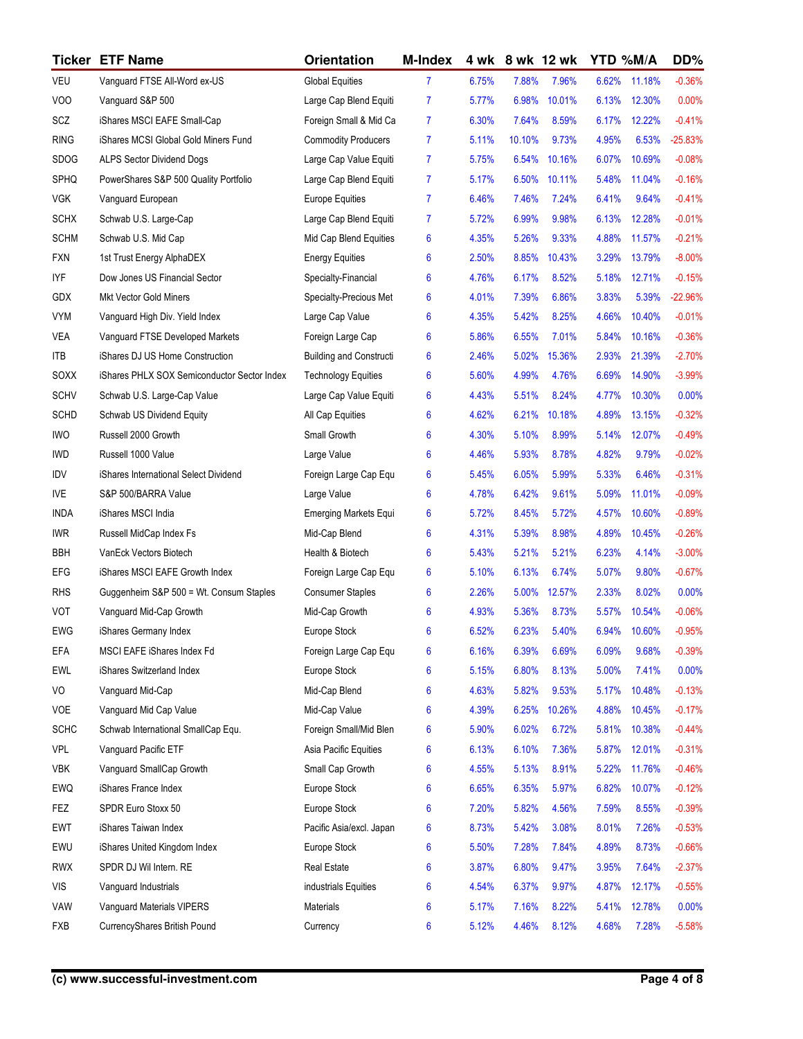|                  | <b>Ticker ETF Name</b>                      | <b>Orientation</b>             | <b>M-Index</b> | 4 wk  | 8 wk 12 wk |        | YTD %M/A |        | DD%       |
|------------------|---------------------------------------------|--------------------------------|----------------|-------|------------|--------|----------|--------|-----------|
| VEU              | Vanguard FTSE All-Word ex-US                | <b>Global Equities</b>         | $\overline{7}$ | 6.75% | 7.88%      | 7.96%  | 6.62%    | 11.18% | $-0.36%$  |
| V <sub>O</sub> O | Vanguard S&P 500                            | Large Cap Blend Equiti         | 7              | 5.77% | 6.98%      | 10.01% | 6.13%    | 12.30% | 0.00%     |
| SCZ              | iShares MSCI EAFE Small-Cap                 | Foreign Small & Mid Ca         | $\overline{7}$ | 6.30% | 7.64%      | 8.59%  | 6.17%    | 12.22% | $-0.41%$  |
| <b>RING</b>      | iShares MCSI Global Gold Miners Fund        | <b>Commodity Producers</b>     | $\overline{7}$ | 5.11% | 10.10%     | 9.73%  | 4.95%    | 6.53%  | $-25.83%$ |
| SDOG             | <b>ALPS Sector Dividend Dogs</b>            | Large Cap Value Equiti         | $\overline{7}$ | 5.75% | 6.54%      | 10.16% | 6.07%    | 10.69% | $-0.08%$  |
| SPHQ             | PowerShares S&P 500 Quality Portfolio       | Large Cap Blend Equiti         | $\overline{7}$ | 5.17% | 6.50%      | 10.11% | 5.48%    | 11.04% | $-0.16%$  |
| <b>VGK</b>       | Vanguard European                           | <b>Europe Equities</b>         | $\overline{7}$ | 6.46% | 7.46%      | 7.24%  | 6.41%    | 9.64%  | $-0.41%$  |
| <b>SCHX</b>      | Schwab U.S. Large-Cap                       | Large Cap Blend Equiti         | $\overline{7}$ | 5.72% | 6.99%      | 9.98%  | 6.13%    | 12.28% | $-0.01%$  |
| <b>SCHM</b>      | Schwab U.S. Mid Cap                         | Mid Cap Blend Equities         | 6              | 4.35% | 5.26%      | 9.33%  | 4.88%    | 11.57% | $-0.21%$  |
| <b>FXN</b>       | 1st Trust Energy AlphaDEX                   | <b>Energy Equities</b>         | 6              | 2.50% | 8.85%      | 10.43% | 3.29%    | 13.79% | $-8.00%$  |
| <b>IYF</b>       | Dow Jones US Financial Sector               | Specialty-Financial            | 6              | 4.76% | 6.17%      | 8.52%  | 5.18%    | 12.71% | $-0.15%$  |
| GDX              | <b>Mkt Vector Gold Miners</b>               | Specialty-Precious Met         | 6              | 4.01% | 7.39%      | 6.86%  | 3.83%    | 5.39%  | $-22.96%$ |
| <b>VYM</b>       | Vanguard High Div. Yield Index              | Large Cap Value                | 6              | 4.35% | 5.42%      | 8.25%  | 4.66%    | 10.40% | $-0.01%$  |
| VEA              | Vanguard FTSE Developed Markets             | Foreign Large Cap              | 6              | 5.86% | 6.55%      | 7.01%  | 5.84%    | 10.16% | $-0.36%$  |
| <b>ITB</b>       | iShares DJ US Home Construction             | <b>Building and Constructi</b> | 6              | 2.46% | 5.02%      | 15.36% | 2.93%    | 21.39% | $-2.70%$  |
| SOXX             | iShares PHLX SOX Semiconductor Sector Index | <b>Technology Equities</b>     | 6              | 5.60% | 4.99%      | 4.76%  | 6.69%    | 14.90% | $-3.99%$  |
| <b>SCHV</b>      | Schwab U.S. Large-Cap Value                 | Large Cap Value Equiti         | 6              | 4.43% | 5.51%      | 8.24%  | 4.77%    | 10.30% | 0.00%     |
| <b>SCHD</b>      | Schwab US Dividend Equity                   | All Cap Equities               | 6              | 4.62% | 6.21%      | 10.18% | 4.89%    | 13.15% | $-0.32%$  |
| <b>IWO</b>       | Russell 2000 Growth                         | Small Growth                   | 6              | 4.30% | 5.10%      | 8.99%  | 5.14%    | 12.07% | $-0.49%$  |
| IWD              | Russell 1000 Value                          | Large Value                    | 6              | 4.46% | 5.93%      | 8.78%  | 4.82%    | 9.79%  | $-0.02%$  |
| IDV              | iShares International Select Dividend       | Foreign Large Cap Equ          | 6              | 5.45% | 6.05%      | 5.99%  | 5.33%    | 6.46%  | $-0.31%$  |
| <b>IVE</b>       | S&P 500/BARRA Value                         | Large Value                    | 6              | 4.78% | 6.42%      | 9.61%  | 5.09%    | 11.01% | $-0.09%$  |
| <b>INDA</b>      | iShares MSCI India                          | <b>Emerging Markets Equi</b>   | 6              | 5.72% | 8.45%      | 5.72%  | 4.57%    | 10.60% | $-0.89%$  |
| <b>IWR</b>       | Russell MidCap Index Fs                     | Mid-Cap Blend                  | 6              | 4.31% | 5.39%      | 8.98%  | 4.89%    | 10.45% | $-0.26%$  |
| <b>BBH</b>       | VanEck Vectors Biotech                      | Health & Biotech               | 6              | 5.43% | 5.21%      | 5.21%  | 6.23%    | 4.14%  | $-3.00%$  |
| EFG              | iShares MSCI EAFE Growth Index              | Foreign Large Cap Equ          | 6              | 5.10% | 6.13%      | 6.74%  | 5.07%    | 9.80%  | $-0.67%$  |
| <b>RHS</b>       | Guggenheim S&P 500 = Wt. Consum Staples     | <b>Consumer Staples</b>        | 6              | 2.26% | 5.00%      | 12.57% | 2.33%    | 8.02%  | 0.00%     |
| VOT              | Vanguard Mid-Cap Growth                     | Mid-Cap Growth                 | 6              | 4.93% | 5.36%      | 8.73%  | 5.57%    | 10.54% | $-0.06%$  |
| EWG              | iShares Germany Index                       | Europe Stock                   | 6              | 6.52% | 6.23%      | 5.40%  | 6.94%    | 10.60% | $-0.95%$  |
| EFA              | MSCI EAFE iShares Index Fd                  | Foreign Large Cap Equ          | 6              | 6.16% | 6.39%      | 6.69%  | 6.09%    | 9.68%  | $-0.39%$  |
| <b>EWL</b>       | iShares Switzerland Index                   | Europe Stock                   | 6              | 5.15% | 6.80%      | 8.13%  | 5.00%    | 7.41%  | 0.00%     |
| VO               | Vanguard Mid-Cap                            | Mid-Cap Blend                  | 6              | 4.63% | 5.82%      | 9.53%  | 5.17%    | 10.48% | $-0.13%$  |
| VOE              | Vanguard Mid Cap Value                      | Mid-Cap Value                  | 6              | 4.39% | 6.25%      | 10.26% | 4.88%    | 10.45% | $-0.17%$  |
| <b>SCHC</b>      | Schwab International SmallCap Equ.          | Foreign Small/Mid Blen         | 6              | 5.90% | 6.02%      | 6.72%  | 5.81%    | 10.38% | $-0.44%$  |
| VPL              | Vanguard Pacific ETF                        | Asia Pacific Equities          | 6              | 6.13% | 6.10%      | 7.36%  | 5.87%    | 12.01% | $-0.31%$  |
| <b>VBK</b>       | Vanguard SmallCap Growth                    | Small Cap Growth               | 6              | 4.55% | 5.13%      | 8.91%  | 5.22%    | 11.76% | $-0.46%$  |
| EWQ              | iShares France Index                        | Europe Stock                   | 6              | 6.65% | 6.35%      | 5.97%  | 6.82%    | 10.07% | $-0.12%$  |
| FEZ              | SPDR Euro Stoxx 50                          | Europe Stock                   | 6              | 7.20% | 5.82%      | 4.56%  | 7.59%    | 8.55%  | $-0.39%$  |
| EWT              | iShares Taiwan Index                        | Pacific Asia/excl. Japan       | 6              | 8.73% | 5.42%      | 3.08%  | 8.01%    | 7.26%  | $-0.53%$  |
| EWU              | iShares United Kingdom Index                | Europe Stock                   | 6              | 5.50% | 7.28%      | 7.84%  | 4.89%    | 8.73%  | $-0.66%$  |
| <b>RWX</b>       | SPDR DJ Wil Intern. RE                      | Real Estate                    | 6              | 3.87% | 6.80%      | 9.47%  | 3.95%    | 7.64%  | $-2.37%$  |
| <b>VIS</b>       | Vanguard Industrials                        | industrials Equities           | 6              | 4.54% | 6.37%      | 9.97%  | 4.87%    | 12.17% | $-0.55%$  |
| VAW              | Vanguard Materials VIPERS                   | Materials                      | 6              | 5.17% | 7.16%      | 8.22%  | 5.41%    | 12.78% | 0.00%     |
| <b>FXB</b>       | CurrencyShares British Pound                | Currency                       | 6              | 5.12% | 4.46%      | 8.12%  | 4.68%    | 7.28%  | $-5.58%$  |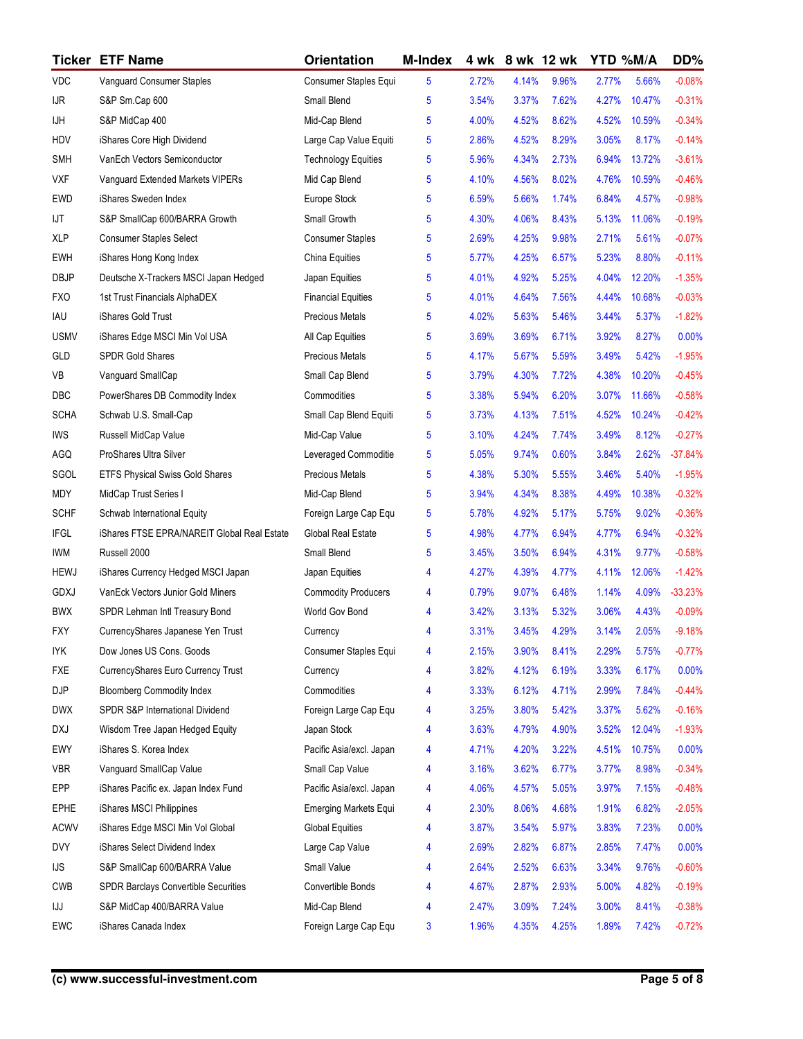|             | <b>Ticker ETF Name</b>                      | Orientation                  | <b>M-Index</b> | 4 wk  | 8 wk 12 wk |       | YTD %M/A |        | DD%       |
|-------------|---------------------------------------------|------------------------------|----------------|-------|------------|-------|----------|--------|-----------|
| VDC         | Vanguard Consumer Staples                   | Consumer Staples Equi        | 5              | 2.72% | 4.14%      | 9.96% | 2.77%    | 5.66%  | $-0.08%$  |
| <b>IJR</b>  | S&P Sm.Cap 600                              | Small Blend                  | 5              | 3.54% | 3.37%      | 7.62% | 4.27%    | 10.47% | $-0.31%$  |
| IJН         | S&P MidCap 400                              | Mid-Cap Blend                | 5              | 4.00% | 4.52%      | 8.62% | 4.52%    | 10.59% | $-0.34%$  |
| HDV         | iShares Core High Dividend                  | Large Cap Value Equiti       | 5              | 2.86% | 4.52%      | 8.29% | 3.05%    | 8.17%  | $-0.14%$  |
| SMH         | VanEch Vectors Semiconductor                | <b>Technology Equities</b>   | 5              | 5.96% | 4.34%      | 2.73% | 6.94%    | 13.72% | $-3.61%$  |
| <b>VXF</b>  | Vanguard Extended Markets VIPERs            | Mid Cap Blend                | 5              | 4.10% | 4.56%      | 8.02% | 4.76%    | 10.59% | $-0.46%$  |
| <b>EWD</b>  | iShares Sweden Index                        | Europe Stock                 | 5              | 6.59% | 5.66%      | 1.74% | 6.84%    | 4.57%  | $-0.98%$  |
| IJT         | S&P SmallCap 600/BARRA Growth               | Small Growth                 | 5              | 4.30% | 4.06%      | 8.43% | 5.13%    | 11.06% | $-0.19%$  |
| <b>XLP</b>  | <b>Consumer Staples Select</b>              | <b>Consumer Staples</b>      | 5              | 2.69% | 4.25%      | 9.98% | 2.71%    | 5.61%  | $-0.07%$  |
| <b>EWH</b>  | iShares Hong Kong Index                     | China Equities               | 5              | 5.77% | 4.25%      | 6.57% | 5.23%    | 8.80%  | $-0.11%$  |
| DBJP        | Deutsche X-Trackers MSCI Japan Hedged       | Japan Equities               | 5              | 4.01% | 4.92%      | 5.25% | 4.04%    | 12.20% | $-1.35%$  |
| <b>FXO</b>  | 1st Trust Financials AlphaDEX               | <b>Financial Equities</b>    | 5              | 4.01% | 4.64%      | 7.56% | 4.44%    | 10.68% | $-0.03%$  |
| IAU         | iShares Gold Trust                          | <b>Precious Metals</b>       | 5              | 4.02% | 5.63%      | 5.46% | 3.44%    | 5.37%  | $-1.82%$  |
| <b>USMV</b> | iShares Edge MSCI Min Vol USA               | All Cap Equities             | 5              | 3.69% | 3.69%      | 6.71% | 3.92%    | 8.27%  | 0.00%     |
| <b>GLD</b>  | <b>SPDR Gold Shares</b>                     | <b>Precious Metals</b>       | 5              | 4.17% | 5.67%      | 5.59% | 3.49%    | 5.42%  | $-1.95%$  |
| VB          | Vanguard SmallCap                           | Small Cap Blend              | 5              | 3.79% | 4.30%      | 7.72% | 4.38%    | 10.20% | $-0.45%$  |
| DBC         | PowerShares DB Commodity Index              | Commodities                  | 5              | 3.38% | 5.94%      | 6.20% | 3.07%    | 11.66% | $-0.58%$  |
| <b>SCHA</b> | Schwab U.S. Small-Cap                       | Small Cap Blend Equiti       | 5              | 3.73% | 4.13%      | 7.51% | 4.52%    | 10.24% | $-0.42%$  |
| <b>IWS</b>  | Russell MidCap Value                        | Mid-Cap Value                | 5              | 3.10% | 4.24%      | 7.74% | 3.49%    | 8.12%  | $-0.27%$  |
| AGQ         | ProShares Ultra Silver                      | Leveraged Commoditie         | 5              | 5.05% | 9.74%      | 0.60% | 3.84%    | 2.62%  | $-37.84%$ |
| SGOL        | ETFS Physical Swiss Gold Shares             | <b>Precious Metals</b>       | 5              | 4.38% | 5.30%      | 5.55% | 3.46%    | 5.40%  | $-1.95%$  |
| MDY         | MidCap Trust Series I                       | Mid-Cap Blend                | 5              | 3.94% | 4.34%      | 8.38% | 4.49%    | 10.38% | $-0.32%$  |
| <b>SCHF</b> | Schwab International Equity                 | Foreign Large Cap Equ        | 5              | 5.78% | 4.92%      | 5.17% | 5.75%    | 9.02%  | $-0.36%$  |
| <b>IFGL</b> | iShares FTSE EPRA/NAREIT Global Real Estate | Global Real Estate           | 5              | 4.98% | 4.77%      | 6.94% | 4.77%    | 6.94%  | $-0.32%$  |
| <b>IWM</b>  | Russell 2000                                | Small Blend                  | 5              | 3.45% | 3.50%      | 6.94% | 4.31%    | 9.77%  | $-0.58%$  |
| <b>HEWJ</b> | iShares Currency Hedged MSCI Japan          | Japan Equities               | 4              | 4.27% | 4.39%      | 4.77% | 4.11%    | 12.06% | $-1.42%$  |
| <b>GDXJ</b> | VanEck Vectors Junior Gold Miners           | <b>Commodity Producers</b>   | 4              | 0.79% | 9.07%      | 6.48% | 1.14%    | 4.09%  | $-33.23%$ |
| <b>BWX</b>  | SPDR Lehman Intl Treasury Bond              | World Gov Bond               | 4              | 3.42% | 3.13%      | 5.32% | 3.06%    | 4.43%  | $-0.09%$  |
| <b>FXY</b>  | CurrencyShares Japanese Yen Trust           | Currency                     | 4              | 3.31% | 3.45%      | 4.29% | 3.14%    | 2.05%  | $-9.18%$  |
| <b>IYK</b>  | Dow Jones US Cons. Goods                    | Consumer Staples Equi        | 4              | 2.15% | 3.90%      | 8.41% | 2.29%    | 5.75%  | $-0.77%$  |
| <b>FXE</b>  | CurrencyShares Euro Currency Trust          | Currency                     | 4              | 3.82% | 4.12%      | 6.19% | 3.33%    | 6.17%  | 0.00%     |
| DJP         | <b>Bloomberg Commodity Index</b>            | Commodities                  | 4              | 3.33% | 6.12%      | 4.71% | 2.99%    | 7.84%  | $-0.44%$  |
| <b>DWX</b>  | SPDR S&P International Dividend             | Foreign Large Cap Equ        | 4              | 3.25% | 3.80%      | 5.42% | 3.37%    | 5.62%  | $-0.16%$  |
| <b>DXJ</b>  | Wisdom Tree Japan Hedged Equity             | Japan Stock                  | 4              | 3.63% | 4.79%      | 4.90% | 3.52%    | 12.04% | $-1.93%$  |
| EWY         | iShares S. Korea Index                      | Pacific Asia/excl. Japan     | 4              | 4.71% | 4.20%      | 3.22% | 4.51%    | 10.75% | 0.00%     |
| <b>VBR</b>  | Vanguard SmallCap Value                     | Small Cap Value              | 4              | 3.16% | 3.62%      | 6.77% | 3.77%    | 8.98%  | $-0.34%$  |
| <b>EPP</b>  | iShares Pacific ex. Japan Index Fund        | Pacific Asia/excl. Japan     | 4              | 4.06% | 4.57%      | 5.05% | 3.97%    | 7.15%  | $-0.48%$  |
| <b>EPHE</b> | iShares MSCI Philippines                    | <b>Emerging Markets Equi</b> | 4              | 2.30% | 8.06%      | 4.68% | 1.91%    | 6.82%  | $-2.05%$  |
| <b>ACWV</b> | iShares Edge MSCI Min Vol Global            | <b>Global Equities</b>       | 4              | 3.87% | 3.54%      | 5.97% | 3.83%    | 7.23%  | 0.00%     |
| <b>DVY</b>  | iShares Select Dividend Index               | Large Cap Value              | 4              | 2.69% | 2.82%      | 6.87% | 2.85%    | 7.47%  | 0.00%     |
| <b>IJS</b>  | S&P SmallCap 600/BARRA Value                | Small Value                  | 4              | 2.64% | 2.52%      | 6.63% | 3.34%    | 9.76%  | $-0.60%$  |
| <b>CWB</b>  | SPDR Barclays Convertible Securities        | Convertible Bonds            | 4              | 4.67% | 2.87%      | 2.93% | 5.00%    | 4.82%  | $-0.19%$  |
| IJJ         | S&P MidCap 400/BARRA Value                  | Mid-Cap Blend                | 4              | 2.47% | 3.09%      | 7.24% | 3.00%    | 8.41%  | $-0.38%$  |
| EWC         | iShares Canada Index                        | Foreign Large Cap Equ        | 3              | 1.96% | 4.35%      | 4.25% | 1.89%    | 7.42%  | $-0.72%$  |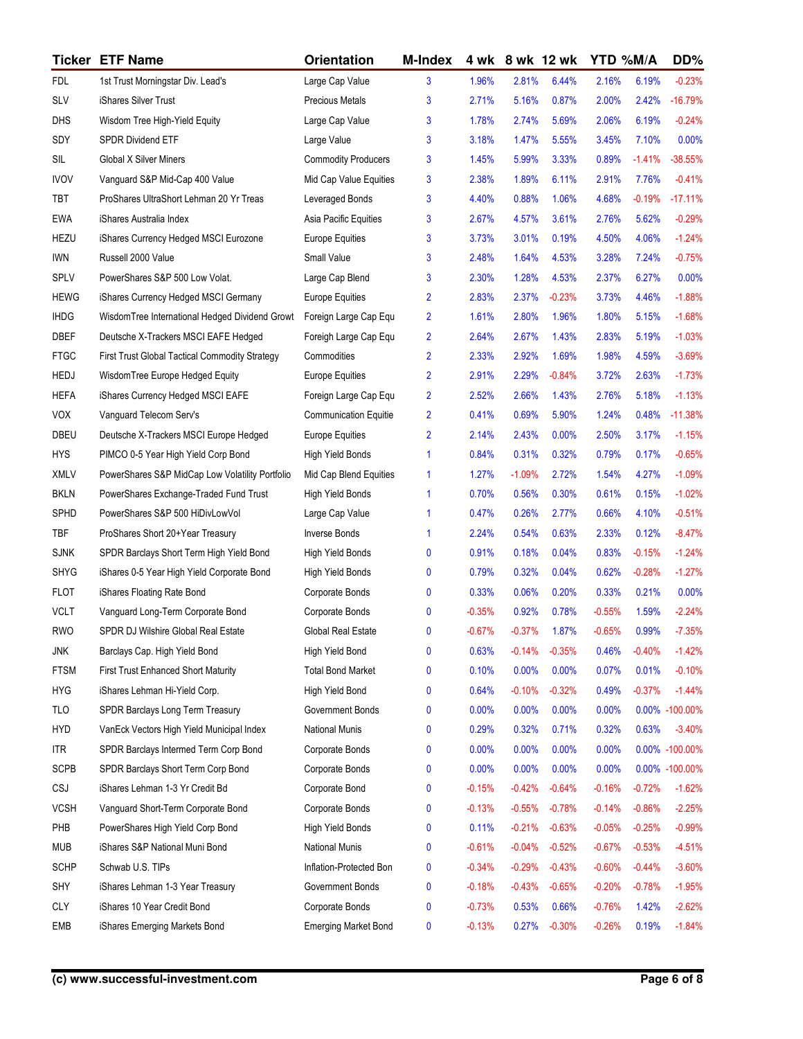|             | <b>Ticker ETF Name</b>                          | Orientation                  | <b>M-Index</b> | 4 wk     | 8 wk 12 wk |          | YTD %M/A |          | DD%            |
|-------------|-------------------------------------------------|------------------------------|----------------|----------|------------|----------|----------|----------|----------------|
| <b>FDL</b>  | 1st Trust Morningstar Div. Lead's               | Large Cap Value              | 3              | 1.96%    | 2.81%      | 6.44%    | 2.16%    | 6.19%    | $-0.23%$       |
| <b>SLV</b>  | iShares Silver Trust                            | Precious Metals              | 3              | 2.71%    | 5.16%      | 0.87%    | 2.00%    | 2.42%    | $-16.79%$      |
| DHS         | Wisdom Tree High-Yield Equity                   | Large Cap Value              | 3              | 1.78%    | 2.74%      | 5.69%    | 2.06%    | 6.19%    | $-0.24%$       |
| SDY         | SPDR Dividend ETF                               | Large Value                  | 3              | 3.18%    | 1.47%      | 5.55%    | 3.45%    | 7.10%    | 0.00%          |
| <b>SIL</b>  | <b>Global X Silver Miners</b>                   | <b>Commodity Producers</b>   | 3              | 1.45%    | 5.99%      | 3.33%    | 0.89%    | $-1.41%$ | $-38.55%$      |
| <b>IVOV</b> | Vanguard S&P Mid-Cap 400 Value                  | Mid Cap Value Equities       | 3              | 2.38%    | 1.89%      | 6.11%    | 2.91%    | 7.76%    | $-0.41%$       |
| TBT         | ProShares UltraShort Lehman 20 Yr Treas         | Leveraged Bonds              | 3              | 4.40%    | 0.88%      | 1.06%    | 4.68%    | $-0.19%$ | $-17.11%$      |
| <b>EWA</b>  | iShares Australia Index                         | Asia Pacific Equities        | 3              | 2.67%    | 4.57%      | 3.61%    | 2.76%    | 5.62%    | $-0.29%$       |
| HEZU        | iShares Currency Hedged MSCI Eurozone           | <b>Europe Equities</b>       | 3              | 3.73%    | 3.01%      | 0.19%    | 4.50%    | 4.06%    | $-1.24%$       |
| <b>IWN</b>  | Russell 2000 Value                              | Small Value                  | 3              | 2.48%    | 1.64%      | 4.53%    | 3.28%    | 7.24%    | $-0.75%$       |
| SPLV        | PowerShares S&P 500 Low Volat.                  | Large Cap Blend              | 3              | 2.30%    | 1.28%      | 4.53%    | 2.37%    | 6.27%    | 0.00%          |
| <b>HEWG</b> | iShares Currency Hedged MSCI Germany            | Europe Equities              | $\overline{2}$ | 2.83%    | 2.37%      | $-0.23%$ | 3.73%    | 4.46%    | $-1.88%$       |
| <b>IHDG</b> | WisdomTree International Hedged Dividend Growt  | Foreign Large Cap Equ        | $\overline{2}$ | 1.61%    | 2.80%      | 1.96%    | 1.80%    | 5.15%    | $-1.68%$       |
| DBEF        | Deutsche X-Trackers MSCI EAFE Hedged            | Foreigh Large Cap Equ        | $\overline{2}$ | 2.64%    | 2.67%      | 1.43%    | 2.83%    | 5.19%    | $-1.03%$       |
| <b>FTGC</b> | First Trust Global Tactical Commodity Strategy  | Commodities                  | $\overline{2}$ | 2.33%    | 2.92%      | 1.69%    | 1.98%    | 4.59%    | $-3.69%$       |
| <b>HEDJ</b> | WisdomTree Europe Hedged Equity                 | <b>Europe Equities</b>       | $\overline{2}$ | 2.91%    | 2.29%      | $-0.84%$ | 3.72%    | 2.63%    | $-1.73%$       |
| <b>HEFA</b> | iShares Currency Hedged MSCI EAFE               | Foreign Large Cap Equ        | $\overline{2}$ | 2.52%    | 2.66%      | 1.43%    | 2.76%    | 5.18%    | $-1.13%$       |
| <b>VOX</b>  | Vanguard Telecom Serv's                         | <b>Communication Equitie</b> | $\overline{2}$ | 0.41%    | 0.69%      | 5.90%    | 1.24%    | 0.48%    | $-11.38%$      |
| DBEU        | Deutsche X-Trackers MSCI Europe Hedged          | Europe Equities              | $\overline{2}$ | 2.14%    | 2.43%      | 0.00%    | 2.50%    | 3.17%    | $-1.15%$       |
| <b>HYS</b>  | PIMCO 0-5 Year High Yield Corp Bond             | High Yield Bonds             | 1              | 0.84%    | 0.31%      | 0.32%    | 0.79%    | 0.17%    | $-0.65%$       |
| <b>XMLV</b> | PowerShares S&P MidCap Low Volatility Portfolio | Mid Cap Blend Equities       | 1              | 1.27%    | $-1.09%$   | 2.72%    | 1.54%    | 4.27%    | $-1.09%$       |
| <b>BKLN</b> | PowerShares Exchange-Traded Fund Trust          | <b>High Yield Bonds</b>      | 1              | 0.70%    | 0.56%      | 0.30%    | 0.61%    | 0.15%    | $-1.02%$       |
| SPHD        | PowerShares S&P 500 HiDivLowVol                 | Large Cap Value              | 1              | 0.47%    | 0.26%      | 2.77%    | 0.66%    | 4.10%    | $-0.51%$       |
| TBF         | ProShares Short 20+Year Treasury                | Inverse Bonds                | $\mathbf{1}$   | 2.24%    | 0.54%      | 0.63%    | 2.33%    | 0.12%    | $-8.47%$       |
| <b>SJNK</b> | SPDR Barclays Short Term High Yield Bond        | <b>High Yield Bonds</b>      | 0              | 0.91%    | 0.18%      | 0.04%    | 0.83%    | $-0.15%$ | $-1.24%$       |
| <b>SHYG</b> | iShares 0-5 Year High Yield Corporate Bond      | <b>High Yield Bonds</b>      | 0              | 0.79%    | 0.32%      | 0.04%    | 0.62%    | $-0.28%$ | $-1.27%$       |
| <b>FLOT</b> | iShares Floating Rate Bond                      | Corporate Bonds              | 0              | 0.33%    | 0.06%      | 0.20%    | 0.33%    | 0.21%    | 0.00%          |
| <b>VCLT</b> | Vanguard Long-Term Corporate Bond               | Corporate Bonds              | 0              | $-0.35%$ | 0.92%      | 0.78%    | $-0.55%$ | 1.59%    | $-2.24%$       |
| <b>RWO</b>  | SPDR DJ Wilshire Global Real Estate             | Global Real Estate           | 0              | $-0.67%$ | $-0.37%$   | 1.87%    | $-0.65%$ | 0.99%    | $-7.35%$       |
| <b>JNK</b>  | Barclays Cap. High Yield Bond                   | High Yield Bond              | 0              | 0.63%    | $-0.14%$   | $-0.35%$ | 0.46%    | $-0.40%$ | $-1.42%$       |
| <b>FTSM</b> | <b>First Trust Enhanced Short Maturity</b>      | <b>Total Bond Market</b>     | 0              | 0.10%    | 0.00%      | 0.00%    | 0.07%    | 0.01%    | $-0.10%$       |
| <b>HYG</b>  | iShares Lehman Hi-Yield Corp.                   | High Yield Bond              | 0              | 0.64%    | $-0.10%$   | $-0.32%$ | 0.49%    | $-0.37%$ | $-1.44%$       |
| <b>TLO</b>  | SPDR Barclays Long Term Treasury                | Government Bonds             | 0              | 0.00%    | 0.00%      | 0.00%    | 0.00%    |          | 0.00% -100.00% |
| <b>HYD</b>  | VanEck Vectors High Yield Municipal Index       | <b>National Munis</b>        | 0              | 0.29%    | 0.32%      | 0.71%    | 0.32%    | 0.63%    | $-3.40%$       |
| <b>ITR</b>  | SPDR Barclays Intermed Term Corp Bond           | Corporate Bonds              | 0              | 0.00%    | 0.00%      | 0.00%    | 0.00%    |          | 0.00% -100.00% |
| <b>SCPB</b> | SPDR Barclays Short Term Corp Bond              | Corporate Bonds              | 0              | 0.00%    | 0.00%      | 0.00%    | 0.00%    |          | 0.00% -100.00% |
| CSJ         | iShares Lehman 1-3 Yr Credit Bd                 | Corporate Bond               | 0              | $-0.15%$ | $-0.42%$   | $-0.64%$ | $-0.16%$ | $-0.72%$ | $-1.62%$       |
| <b>VCSH</b> | Vanguard Short-Term Corporate Bond              | Corporate Bonds              | 0              | $-0.13%$ | $-0.55%$   | $-0.78%$ | $-0.14%$ | $-0.86%$ | $-2.25%$       |
| PHB         | PowerShares High Yield Corp Bond                | <b>High Yield Bonds</b>      | 0              | 0.11%    | $-0.21%$   | $-0.63%$ | $-0.05%$ | $-0.25%$ | $-0.99%$       |
| <b>MUB</b>  | iShares S&P National Muni Bond                  | National Munis               | 0              | $-0.61%$ | $-0.04%$   | $-0.52%$ | $-0.67%$ | $-0.53%$ | $-4.51%$       |
| <b>SCHP</b> | Schwab U.S. TIPs                                | Inflation-Protected Bon      | 0              | $-0.34%$ | $-0.29%$   | $-0.43%$ | $-0.60%$ | $-0.44%$ | $-3.60%$       |
| SHY         | iShares Lehman 1-3 Year Treasury                | Government Bonds             | 0              | $-0.18%$ | $-0.43%$   | $-0.65%$ | $-0.20%$ | $-0.78%$ | $-1.95%$       |
| <b>CLY</b>  | iShares 10 Year Credit Bond                     | Corporate Bonds              | 0              | $-0.73%$ | 0.53%      | 0.66%    | $-0.76%$ | 1.42%    | $-2.62%$       |
| EMB         | iShares Emerging Markets Bond                   | <b>Emerging Market Bond</b>  | 0              | $-0.13%$ | 0.27%      | $-0.30%$ | $-0.26%$ | 0.19%    | $-1.84%$       |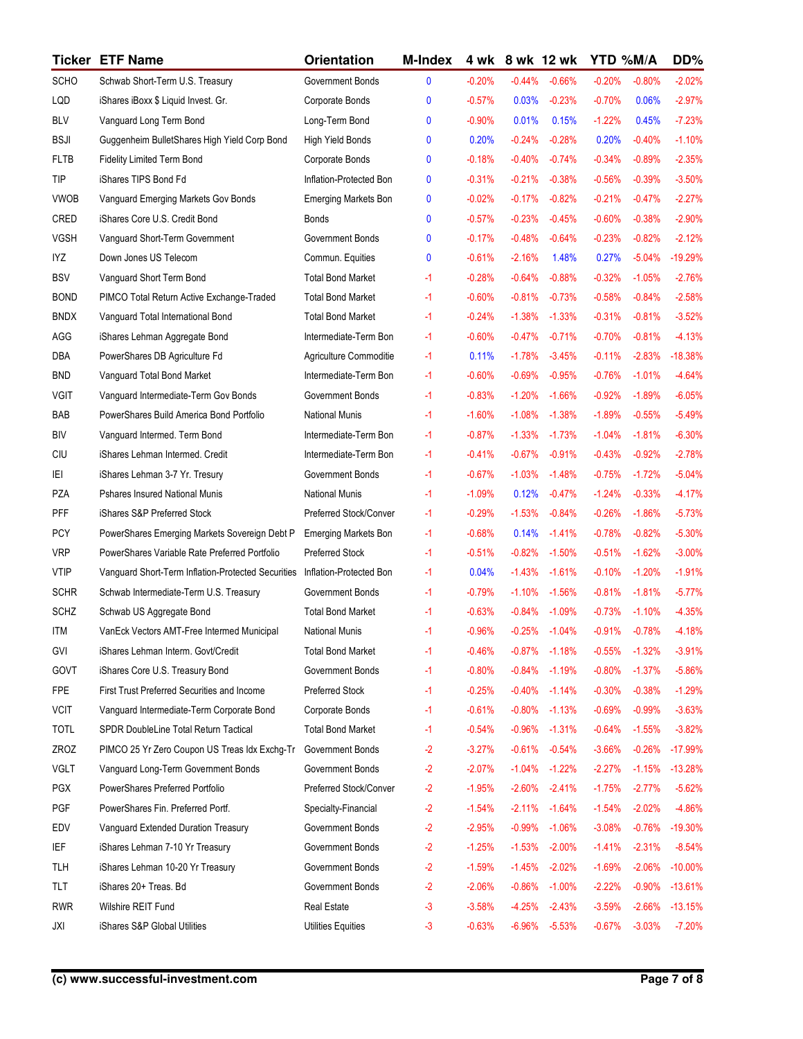| <b>Ticker</b> | <b>ETF Name</b>                                    | Orientation                 | <b>M-Index</b> | 4 wk     | 8 wk 12 wk |           | YTD %M/A |          | DD%       |
|---------------|----------------------------------------------------|-----------------------------|----------------|----------|------------|-----------|----------|----------|-----------|
| <b>SCHO</b>   | Schwab Short-Term U.S. Treasury                    | Government Bonds            | 0              | $-0.20%$ | $-0.44%$   | $-0.66%$  | $-0.20%$ | $-0.80%$ | $-2.02%$  |
| LQD           | iShares iBoxx \$ Liquid Invest. Gr.                | Corporate Bonds             | 0              | $-0.57%$ | 0.03%      | $-0.23%$  | $-0.70%$ | 0.06%    | $-2.97%$  |
| <b>BLV</b>    | Vanguard Long Term Bond                            | Long-Term Bond              | $\mathbf{0}$   | $-0.90%$ | 0.01%      | 0.15%     | $-1.22%$ | 0.45%    | $-7.23%$  |
| <b>BSJI</b>   | Guggenheim BulletShares High Yield Corp Bond       | <b>High Yield Bonds</b>     | 0              | 0.20%    | $-0.24%$   | $-0.28%$  | 0.20%    | $-0.40%$ | $-1.10%$  |
| <b>FLTB</b>   | Fidelity Limited Term Bond                         | Corporate Bonds             | $\mathbf{0}$   | $-0.18%$ | $-0.40%$   | $-0.74%$  | $-0.34%$ | $-0.89%$ | $-2.35%$  |
| TIP           | iShares TIPS Bond Fd                               | Inflation-Protected Bon     | $\mathbf{0}$   | $-0.31%$ | $-0.21%$   | $-0.38%$  | $-0.56%$ | $-0.39%$ | $-3.50%$  |
| <b>VWOB</b>   | Vanguard Emerging Markets Gov Bonds                | <b>Emerging Markets Bon</b> | $\mathbf 0$    | $-0.02%$ | $-0.17%$   | $-0.82%$  | $-0.21%$ | $-0.47%$ | $-2.27%$  |
| CRED          | iShares Core U.S. Credit Bond                      | <b>Bonds</b>                | $\mathbf{0}$   | $-0.57%$ | $-0.23%$   | $-0.45%$  | $-0.60%$ | $-0.38%$ | $-2.90%$  |
| <b>VGSH</b>   | Vanguard Short-Term Government                     | Government Bonds            | $\mathbf{0}$   | $-0.17%$ | $-0.48%$   | $-0.64%$  | $-0.23%$ | $-0.82%$ | $-2.12%$  |
| IYZ           | Down Jones US Telecom                              | Commun. Equities            | 0              | $-0.61%$ | $-2.16%$   | 1.48%     | 0.27%    | $-5.04%$ | $-19.29%$ |
| <b>BSV</b>    | Vanguard Short Term Bond                           | <b>Total Bond Market</b>    | $-1$           | $-0.28%$ | $-0.64%$   | $-0.88%$  | $-0.32%$ | $-1.05%$ | $-2.76%$  |
| <b>BOND</b>   | PIMCO Total Return Active Exchange-Traded          | <b>Total Bond Market</b>    | $-1$           | $-0.60%$ | $-0.81%$   | $-0.73%$  | $-0.58%$ | $-0.84%$ | $-2.58%$  |
| <b>BNDX</b>   | Vanguard Total International Bond                  | <b>Total Bond Market</b>    | $-1$           | $-0.24%$ | $-1.38%$   | $-1.33%$  | $-0.31%$ | $-0.81%$ | $-3.52%$  |
| AGG           | iShares Lehman Aggregate Bond                      | Intermediate-Term Bon       | $-1$           | $-0.60%$ | $-0.47%$   | $-0.71%$  | $-0.70%$ | $-0.81%$ | $-4.13%$  |
| DBA           | PowerShares DB Agriculture Fd                      | Agriculture Commoditie      | $-1$           | 0.11%    | $-1.78%$   | $-3.45%$  | $-0.11%$ | $-2.83%$ | $-18.38%$ |
| <b>BND</b>    | Vanguard Total Bond Market                         | Intermediate-Term Bon       | $-1$           | $-0.60%$ | $-0.69%$   | $-0.95%$  | $-0.76%$ | $-1.01%$ | $-4.64%$  |
| <b>VGIT</b>   | Vanguard Intermediate-Term Gov Bonds               | Government Bonds            | $-1$           | $-0.83%$ | $-1.20%$   | $-1.66%$  | $-0.92%$ | $-1.89%$ | $-6.05%$  |
| <b>BAB</b>    | PowerShares Build America Bond Portfolio           | <b>National Munis</b>       | $-1$           | $-1.60%$ | $-1.08%$   | $-1.38%$  | $-1.89%$ | $-0.55%$ | $-5.49%$  |
| <b>BIV</b>    | Vanguard Intermed. Term Bond                       | Intermediate-Term Bon       | $-1$           | $-0.87%$ | $-1.33%$   | $-1.73%$  | $-1.04%$ | $-1.81%$ | $-6.30%$  |
| CIU           | iShares Lehman Intermed. Credit                    | Intermediate-Term Bon       | $-1$           | $-0.41%$ | $-0.67%$   | $-0.91%$  | $-0.43%$ | $-0.92%$ | $-2.78%$  |
| IEI           | iShares Lehman 3-7 Yr. Tresury                     | Government Bonds            | $-1$           | $-0.67%$ | $-1.03%$   | $-1.48%$  | $-0.75%$ | $-1.72%$ | $-5.04%$  |
| PZA           | Pshares Insured National Munis                     | National Munis              | $-1$           | $-1.09%$ | 0.12%      | $-0.47%$  | $-1.24%$ | $-0.33%$ | $-4.17%$  |
| PFF           | iShares S&P Preferred Stock                        | Preferred Stock/Conver      | $-1$           | $-0.29%$ | $-1.53%$   | $-0.84%$  | $-0.26%$ | $-1.86%$ | $-5.73%$  |
| <b>PCY</b>    | PowerShares Emerging Markets Sovereign Debt P      | <b>Emerging Markets Bon</b> | $-1$           | $-0.68%$ | 0.14%      | $-1.41%$  | $-0.78%$ | $-0.82%$ | $-5.30%$  |
| <b>VRP</b>    | PowerShares Variable Rate Preferred Portfolio      | Preferred Stock             | $-1$           | $-0.51%$ | $-0.82%$   | $-1.50%$  | $-0.51%$ | $-1.62%$ | $-3.00%$  |
| <b>VTIP</b>   | Vanguard Short-Term Inflation-Protected Securities | Inflation-Protected Bon     | $-1$           | 0.04%    | $-1.43%$   | $-1.61%$  | $-0.10%$ | $-1.20%$ | $-1.91%$  |
| <b>SCHR</b>   | Schwab Intermediate-Term U.S. Treasury             | Government Bonds            | $-1$           | $-0.79%$ | $-1.10%$   | $-1.56%$  | $-0.81%$ | $-1.81%$ | $-5.77%$  |
| <b>SCHZ</b>   | Schwab US Aggregate Bond                           | <b>Total Bond Market</b>    | $-1$           | $-0.63%$ | $-0.84%$   | $-1.09%$  | $-0.73%$ | $-1.10%$ | $-4.35%$  |
| ITM           | VanEck Vectors AMT-Free Intermed Municipal         | <b>National Munis</b>       | $-1$           | $-0.96%$ | $-0.25%$   | $-1.04%$  | $-0.91%$ | $-0.78%$ | $-4.18%$  |
| <b>GVI</b>    | iShares Lehman Interm. Govt/Credit                 | <b>Total Bond Market</b>    | $-1$           | $-0.46%$ | $-0.87%$   | $-1.18%$  | $-0.55%$ | $-1.32%$ | $-3.91%$  |
| GOVT          | iShares Core U.S. Treasury Bond                    | Government Bonds            | $-1$           | $-0.80%$ | $-0.84%$   | $-1.19%$  | $-0.80%$ | $-1.37%$ | $-5.86%$  |
| <b>FPE</b>    | First Trust Preferred Securities and Income        | Preferred Stock             | $-1$           | $-0.25%$ | $-0.40%$   | $-1.14%$  | $-0.30%$ | $-0.38%$ | $-1.29%$  |
| <b>VCIT</b>   | Vanguard Intermediate-Term Corporate Bond          | Corporate Bonds             | $-1$           | $-0.61%$ | $-0.80%$   | $-1.13%$  | $-0.69%$ | $-0.99%$ | $-3.63%$  |
| <b>TOTL</b>   | SPDR DoubleLine Total Return Tactical              | <b>Total Bond Market</b>    | $-1$           | $-0.54%$ | $-0.96%$   | $-1.31%$  | $-0.64%$ | $-1.55%$ | $-3.82%$  |
| ZROZ          | PIMCO 25 Yr Zero Coupon US Treas Idx Exchg-Tr      | Government Bonds            | $-2$           | $-3.27%$ | $-0.61%$   | $-0.54%$  | $-3.66%$ | $-0.26%$ | $-17.99%$ |
| <b>VGLT</b>   | Vanguard Long-Term Government Bonds                | Government Bonds            | $-2$           | $-2.07%$ | $-1.04%$   | $-1.22%$  | $-2.27%$ | $-1.15%$ | $-13.28%$ |
| <b>PGX</b>    | PowerShares Preferred Portfolio                    | Preferred Stock/Conver      | $-2$           | $-1.95%$ | $-2.60%$   | $-2.41%$  | $-1.75%$ | $-2.77%$ | $-5.62%$  |
| PGF           | PowerShares Fin. Preferred Portf.                  | Specialty-Financial         | $-2$           | $-1.54%$ | $-2.11%$   | $-1.64%$  | $-1.54%$ | $-2.02%$ | -4.86%    |
| EDV           | Vanguard Extended Duration Treasury                | Government Bonds            | $-2$           | $-2.95%$ | $-0.99%$   | $-1.06%$  | $-3.08%$ | $-0.76%$ | $-19.30%$ |
| IEF           | iShares Lehman 7-10 Yr Treasury                    | Government Bonds            | $-2$           | $-1.25%$ | $-1.53%$   | $-2.00%$  | $-1.41%$ | $-2.31%$ | $-8.54%$  |
| TLH           | iShares Lehman 10-20 Yr Treasury                   | Government Bonds            | $-2$           | $-1.59%$ | $-1.45%$   | $-2.02%$  | $-1.69%$ | $-2.06%$ | $-10.00%$ |
| TLT           | iShares 20+ Treas. Bd                              | Government Bonds            | $-2$           | $-2.06%$ | $-0.86%$   | $-1.00\%$ | $-2.22%$ | $-0.90%$ | $-13.61%$ |
| <b>RWR</b>    | Wilshire REIT Fund                                 | Real Estate                 | $-3$           | $-3.58%$ | $-4.25%$   | $-2.43%$  | $-3.59%$ | $-2.66%$ | $-13.15%$ |
| JXI           | iShares S&P Global Utilities                       | Utilities Equities          | $-3$           | $-0.63%$ | $-6.96%$   | $-5.53%$  | $-0.67%$ | $-3.03%$ | $-7.20%$  |